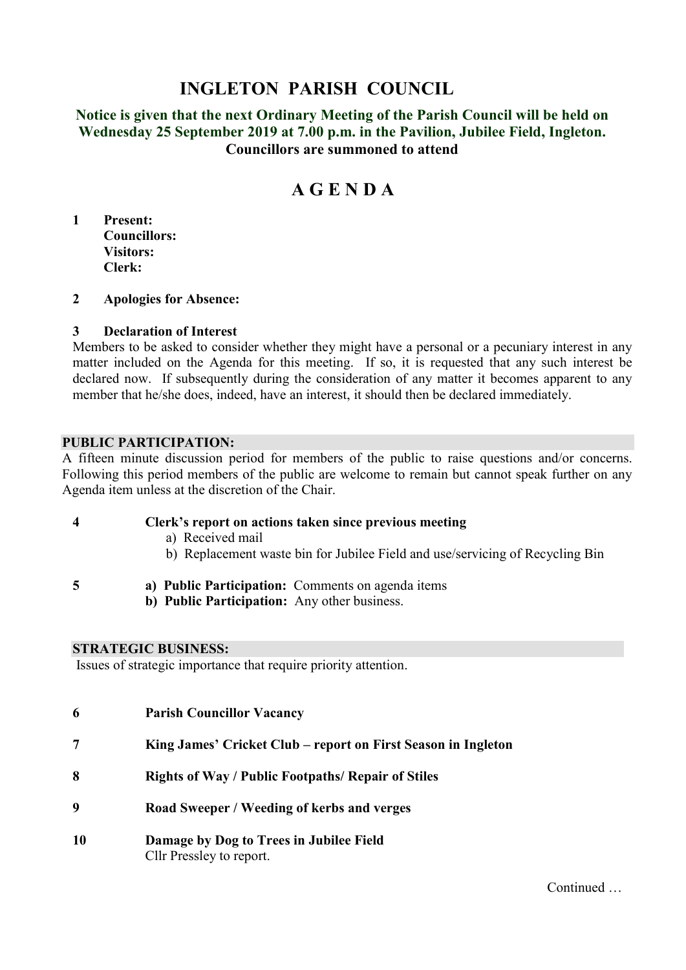# **INGLETON PARISH COUNCIL**

**Notice is given that the next Ordinary Meeting of the Parish Council will be held on Wednesday 25 September 2019 at 7.00 p.m. in the Pavilion, Jubilee Field, Ingleton. Councillors are summoned to attend**

# **A G E N D A**

**1 Present: Councillors: Visitors: Clerk:**

#### **2 Apologies for Absence:**

#### **3 Declaration of Interest**

Members to be asked to consider whether they might have a personal or a pecuniary interest in any matter included on the Agenda for this meeting. If so, it is requested that any such interest be declared now. If subsequently during the consideration of any matter it becomes apparent to any member that he/she does, indeed, have an interest, it should then be declared immediately.

#### **PUBLIC PARTICIPATION:**

A fifteen minute discussion period for members of the public to raise questions and/or concerns. Following this period members of the public are welcome to remain but cannot speak further on any Agenda item unless at the discretion of the Chair.

#### **4 Clerk's report on actions taken since previous meeting**

- a) Received mail
- b) Replacement waste bin for Jubilee Field and use/servicing of Recycling Bin
- 
- **5 a) Public Participation:** Comments on agenda items
	- **b) Public Participation:** Any other business.

#### **STRATEGIC BUSINESS:**

Issues of strategic importance that require priority attention.

| 6  | <b>Parish Councillor Vacancy</b>                                    |
|----|---------------------------------------------------------------------|
|    | King James' Cricket Club – report on First Season in Ingleton       |
| 8  | <b>Rights of Way / Public Footpaths/ Repair of Stiles</b>           |
| Q  | Road Sweeper / Weeding of kerbs and verges                          |
| 10 | Damage by Dog to Trees in Jubilee Field<br>Cllr Pressley to report. |

Continued …